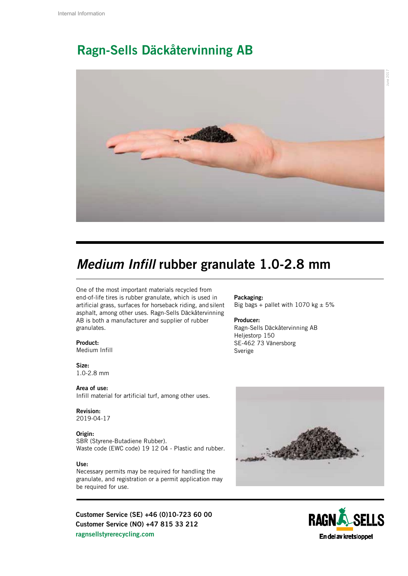## Ragn-Sells Däckåtervinning AB



## *Medium Infill* rubber granulate 1.0-2.8 mm

One of the most important materials recycled from end-of-life tires is rubber granulate, which is used in artificial grass, surfaces for horseback riding, and silent asphalt, among other uses. Ragn-Sells Däckåtervinning AB is both a manufacturer and supplier of rubber granulates.

### Product:

Medium Infill

Size: 1.0-2.8 mm

Area of use: Infill material for artificial turf, among other uses.

### Revision:

2019-04-17

#### Origin:

SBR (Styrene-Butadiene Rubber). Waste code (EWC code) 19 12 04 - Plastic and rubber.

#### Use:

Necessary permits may be required for handling the granulate, and registration or a permit application may be required for use.

Customer Service (SE) +46 (0)10-723 60 00 Customer Service (NO) +47 815 33 212 ragnsellstyrerecycling.com

#### Packaging: Big bags + pallet with 1070 kg  $\pm$  5%

#### Producer:

Ragn-Sells Däckåtervinning AB Heljestorp 150 SE-462 73 Vänersborg Sverige